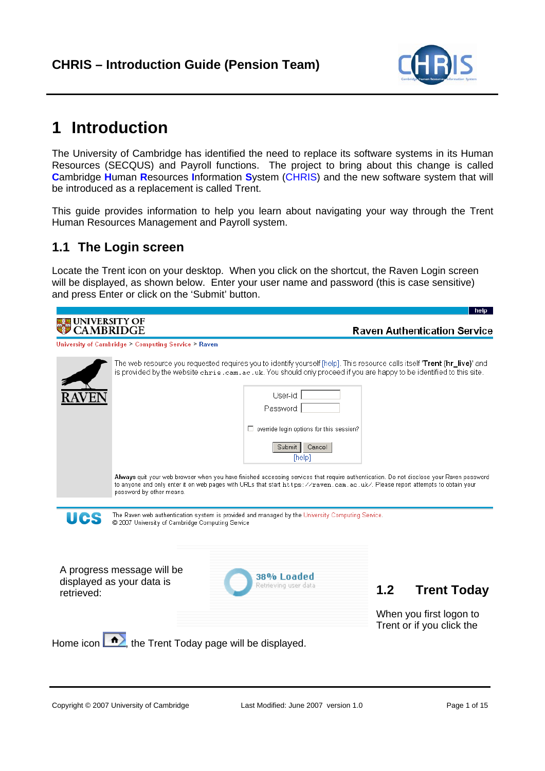

# **1 Introduction**

The University of Cambridge has identified the need to replace its software systems in its Human Resources (SECQUS) and Payroll functions. The project to bring about this change is called **C**ambridge **H**uman **R**esources **I**nformation **S**ystem (CHRIS) and the new software system that will be introduced as a replacement is called Trent.

This guide provides information to help you learn about navigating your way through the Trent Human Resources Management and Payroll system.

## **1.1 The Login screen**

Locate the Trent icon on your desktop. When you click on the shortcut, the Raven Login screen will be displayed, as shown below. Enter your user name and password (this is case sensitive) and press Enter or click on the 'Submit' button.

|               |                                                                                                  |                                                                                                                                                                                                                                                                                                                                                                                                                                                                                                       | help                                                                              |
|---------------|--------------------------------------------------------------------------------------------------|-------------------------------------------------------------------------------------------------------------------------------------------------------------------------------------------------------------------------------------------------------------------------------------------------------------------------------------------------------------------------------------------------------------------------------------------------------------------------------------------------------|-----------------------------------------------------------------------------------|
| UNIVERSITY OF |                                                                                                  |                                                                                                                                                                                                                                                                                                                                                                                                                                                                                                       | <b>Raven Authentication Service</b>                                               |
|               | University of Cambridge > Computing Service > Raven                                              |                                                                                                                                                                                                                                                                                                                                                                                                                                                                                                       |                                                                                   |
|               |                                                                                                  | The web resource you requested requires you to identify yourself [help]. This resource calls itself 'Trent (hr_live)' and<br>is provided by the website chris.cam.ac.uk. You should only proceed if you are happy to be identified to this site.<br>User-id:<br>Password:<br>$\Box$ override login options for this session?<br>Cancel<br>Submit<br>[help]<br>Always quit your web browser when you have finished accessing services that require authentication. Do not disclose your Raven password |                                                                                   |
|               | password by other means.                                                                         | to anyone and only enter it on web pages with URLs that start https://raven.cam.ac.uk/. Please report attempts to obtain your                                                                                                                                                                                                                                                                                                                                                                         |                                                                                   |
|               |                                                                                                  |                                                                                                                                                                                                                                                                                                                                                                                                                                                                                                       |                                                                                   |
| UCS           | 2007 University of Cambridge Computing Service                                                   | The Raven web authentication system is provided and managed by the University Computing Service.                                                                                                                                                                                                                                                                                                                                                                                                      |                                                                                   |
| retrieved:    | A progress message will be<br>displayed as your data is                                          | 38% Loaded<br>Retrieving user data                                                                                                                                                                                                                                                                                                                                                                                                                                                                    | 1.2<br><b>Trent Today</b><br>When you first logon to<br>Trent or if you click the |
|               | Home icon $\left  \stackrel{\bullet}{\bullet} \right $ , the Trent Today page will be displayed. |                                                                                                                                                                                                                                                                                                                                                                                                                                                                                                       |                                                                                   |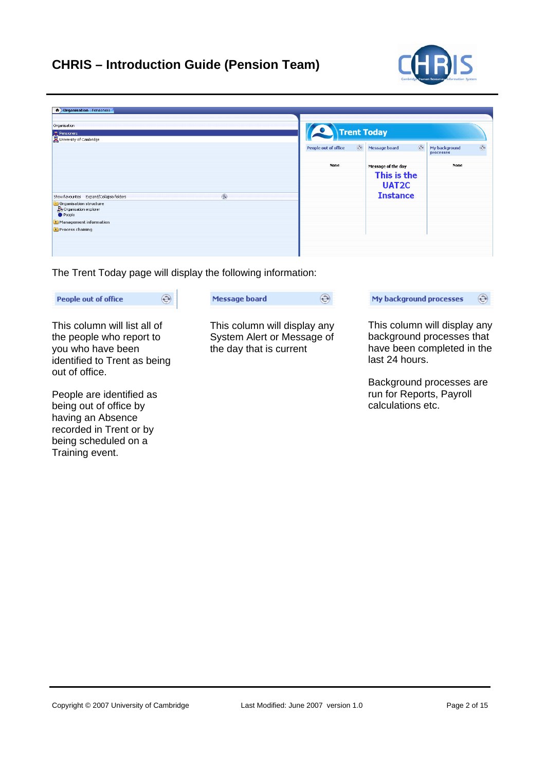

| <b>A</b> Organisation : Pensioners                                           |                                 |                                 |                                              |
|------------------------------------------------------------------------------|---------------------------------|---------------------------------|----------------------------------------------|
| Organisation<br>Pensioners<br>A University of Cambridge                      | <b>Trent Today</b>              |                                 |                                              |
|                                                                              | $\odot$<br>People out of office | $\odot$<br><b>Message board</b> | $\circledcirc$<br>My background<br>processes |
|                                                                              | <b>None</b>                     | Message of the day              | <b>None</b>                                  |
|                                                                              |                                 | This is the<br><b>UAT2C</b>     |                                              |
| $\circledR$<br>Show favourites Expand/Collapse folders                       |                                 | <b>Instance</b>                 |                                              |
| <b>D</b> Organisation structure<br><b>Pa</b> Organisation explorer<br>People |                                 |                                 |                                              |
| H Management information                                                     |                                 |                                 |                                              |
| <b>Process chaining</b>                                                      |                                 |                                 |                                              |
|                                                                              |                                 |                                 |                                              |
|                                                                              |                                 |                                 |                                              |

The Trent Today page will display the following information:

 $\circledcirc$ People out of office

This column will list all of the people who report to you who have been identified to Trent as being out of office.

People are identified as being out of office by having an Absence recorded in Trent or by being scheduled on a Training event.

**Message board** 

This column will display any System Alert or Message of the day that is current

 $\circledcirc$ 

My background processes  $\circledcirc$ 

This column will display any background processes that have been completed in the last 24 hours.

Background processes are run for Reports, Payroll calculations etc.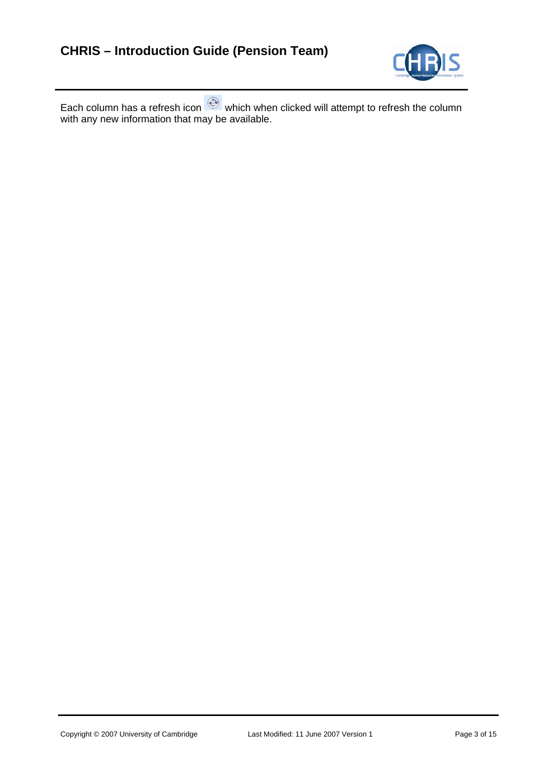

Each column has a refresh icon  $\heartsuit$  which when clicked will attempt to refresh the column with any new information that may be available.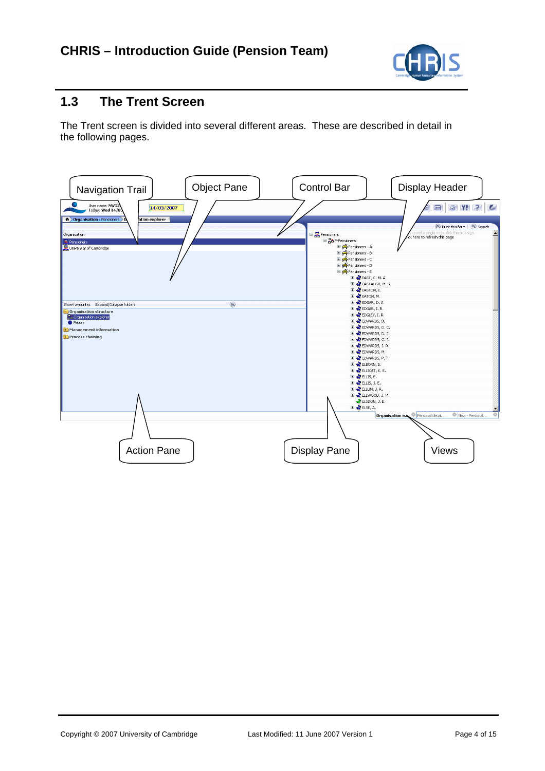

## **1.3 The Trent Screen**

The Trent screen is divided into several different areas. These are described in detail in the following pages.

| <b>Navigation Trail</b>                                                                                                                                                                 | <b>Object Pane</b> | Control Bar                                                                                                                                                                                                                                                                                                                                                                                                                                                                                                        | Display Header                                                                                          |
|-----------------------------------------------------------------------------------------------------------------------------------------------------------------------------------------|--------------------|--------------------------------------------------------------------------------------------------------------------------------------------------------------------------------------------------------------------------------------------------------------------------------------------------------------------------------------------------------------------------------------------------------------------------------------------------------------------------------------------------------------------|---------------------------------------------------------------------------------------------------------|
| User name: NW12<br>14/03/2007<br>Today: Wed 14/03<br><b>A</b> Organisation : Pensioners<br>ation explorer<br>Organisation<br>Pensioners<br>界 University of Cambridge                    |                    | 日 <mark>果</mark> Pensioners<br>B P-Pensioners<br>Pensioners - A<br>Pensioners - B<br>Pensioners - C<br>Pensioners - D<br>Pensioners - E<br>E & EAST, C. M. A.<br>E & EASTAUGH, M. S.<br>E EASTON, E.<br>E & EATON, M.                                                                                                                                                                                                                                                                                              | Print this form   4 Search<br>pand a single node click the plus sign.<br>lick here to refresh this page |
| Show favourites Expand/Collapse folders<br>- Organisation structure<br><b>T.</b> Organisation explorer<br><b>O</b> People<br><b>H</b> Management information<br><b>Process chaining</b> | $\circledR$        | $E$ $\leq$ EDGAR, D.A.<br>$\blacksquare$ $\blacksquare$ EDGAR, I.R.<br>$\blacksquare$ $\blacksquare$ EDGLEY, I.R.<br>EDWARDS, B.<br>E & EDWARDS, D. C.<br>E & EDWARDS, D. J.<br>EDWARDS, G. J.<br>E EDWARDS, J. R.<br>E & EDWARDS, M.<br>EDWARDS, P. T.<br>ELBORN, D.<br>$\equiv$ <b>ELLIOTT, K. E.</b><br>$\blacksquare$ $\blacksquare$ ELLIS, E.<br>$\blacksquare$ $\blacksquare$ ELLIS, J. E.<br>$\blacksquare$ <b>ELLUM, J. R.</b><br>ELLWOOD, J. M.<br>ELSDON, J.D.<br>$\blacksquare$ $\blacksquare$ ELSE, A. | Personal detai<br>New - Personal<br>Organisation e.s.                                                   |
| <b>Action Pane</b>                                                                                                                                                                      |                    | <b>Display Pane</b>                                                                                                                                                                                                                                                                                                                                                                                                                                                                                                | <b>Views</b>                                                                                            |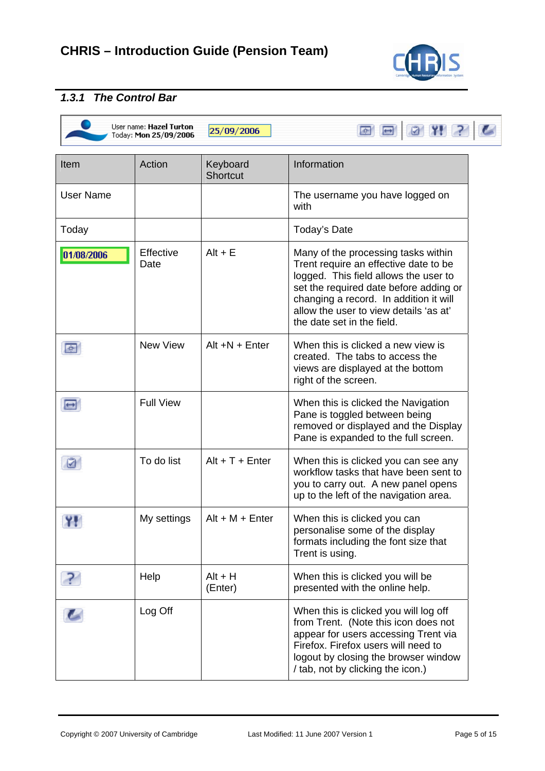

2 11 ?

L

 $\boxed{\bullet}$ 

### *1.3.1 The Control Bar*

| U: |
|----|
| To |
|    |

lser name<mark>: Hazel Turton</mark><br>'oday: **Mon 25/09/2006** 25/09/2006

| Item             | Action            | Keyboard<br><b>Shortcut</b> | Information                                                                                                                                                                                                                                                                       |
|------------------|-------------------|-----------------------------|-----------------------------------------------------------------------------------------------------------------------------------------------------------------------------------------------------------------------------------------------------------------------------------|
| <b>User Name</b> |                   |                             | The username you have logged on<br>with                                                                                                                                                                                                                                           |
| Today            |                   |                             | Today's Date                                                                                                                                                                                                                                                                      |
| 01/08/2006       | Effective<br>Date | $Alt + E$                   | Many of the processing tasks within<br>Trent require an effective date to be<br>logged. This field allows the user to<br>set the required date before adding or<br>changing a record. In addition it will<br>allow the user to view details 'as at'<br>the date set in the field. |
|                  | <b>New View</b>   | $Alt + N + Enter$           | When this is clicked a new view is<br>created. The tabs to access the<br>views are displayed at the bottom<br>right of the screen.                                                                                                                                                |
|                  | <b>Full View</b>  |                             | When this is clicked the Navigation<br>Pane is toggled between being<br>removed or displayed and the Display<br>Pane is expanded to the full screen.                                                                                                                              |
|                  | To do list        | $Alt + T + Enter$           | When this is clicked you can see any<br>workflow tasks that have been sent to<br>you to carry out. A new panel opens<br>up to the left of the navigation area.                                                                                                                    |
|                  | My settings       | $Alt + M + Enter$           | When this is clicked you can<br>personalise some of the display<br>formats including the font size that<br>Trent is using.                                                                                                                                                        |
|                  | Help              | $Alt + H$<br>(Enter)        | When this is clicked you will be<br>presented with the online help.                                                                                                                                                                                                               |
|                  | Log Off           |                             | When this is clicked you will log off<br>from Trent. (Note this icon does not<br>appear for users accessing Trent via<br>Firefox. Firefox users will need to<br>logout by closing the browser window<br>/ tab, not by clicking the icon.)                                         |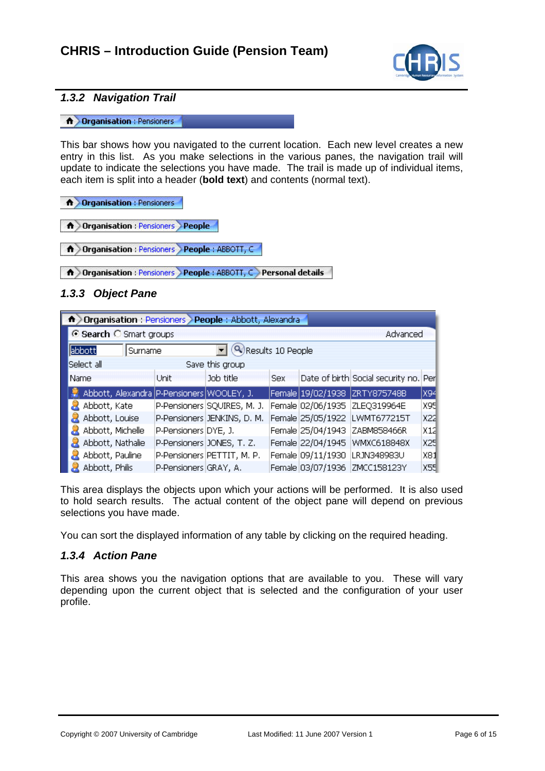

#### *1.3.2 Navigation Trail*

#### n Organisation : Pensioners

This bar shows how you navigated to the current location. Each new level creates a new entry in this list. As you make selections in the various panes, the navigation trail will update to indicate the selections you have made. The trail is made up of individual items, each item is split into a header (**bold text**) and contents (normal text).

n Organisation : Pensioners

A Organisation : Pensioners People

A Organisation : Pensioners People : ABBOTT, C

**A** Organisation : Pensioners People : ABBOTT, C Personal details

#### *1.3.3 Object Pane*

| n > Organisation : Pensioners > People : Abbott, Alexandra |                       |                             |            |                   |                                       |     |
|------------------------------------------------------------|-----------------------|-----------------------------|------------|-------------------|---------------------------------------|-----|
| ⊙ Search ○ Smart groups                                    |                       |                             |            |                   | Advanced                              |     |
| abbott                                                     | Surname               | Results 10 People           |            |                   |                                       |     |
| Select all                                                 |                       | Save this group             |            |                   |                                       |     |
| Name                                                       | Unit                  | Job title                   | <b>Sex</b> |                   | Date of birth Social security no. Per |     |
| Abbott, Alexandra P-Pensioners WOOLEY, J.                  |                       |                             |            |                   | Female 19/02/1938 ZRTY875748B         | x94 |
| Abbott, Kate                                               |                       | P-Pensioners SQUIRES, M. J. |            |                   | Female 02/06/1935 ZLEQ319964E         | X95 |
| Abbott, Louise                                             |                       | P-Pensioners JENKINS, D. M. |            |                   | Female 25/05/1922 LWMT677215T         | x22 |
| Abbott, Michelle                                           | P-Pensioners DYE, J.  |                             |            | Female 25/04/1943 | ZABM858466R                           | X12 |
| Abbott, Nathalie                                           |                       | P-Pensioners JONES, T. Z.   |            |                   | Female 22/04/1945 WMXC618848X         | X25 |
| Abbott, Pauline                                            |                       | P-Pensioners PETTIT, M. P.  |            |                   | Female 09/11/1930  LRJN348983U        | X81 |
| Abbott, Philis                                             | P-Pensioners GRAY, A. |                             |            | Female 03/07/1936 | ZMCC158123Y                           | X55 |

This area displays the objects upon which your actions will be performed. It is also used to hold search results. The actual content of the object pane will depend on previous selections you have made.

You can sort the displayed information of any table by clicking on the required heading.

#### *1.3.4 Action Pane*

This area shows you the navigation options that are available to you. These will vary depending upon the current object that is selected and the configuration of your user profile.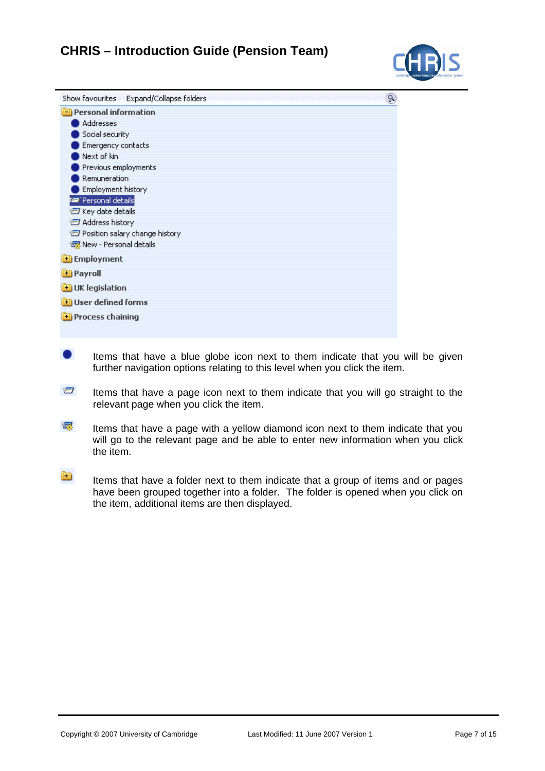

| Show favourites Expand/Collapse folders | $\mathbf{Q}$ |
|-----------------------------------------|--------------|
| Personal information                    |              |
| Addresses                               |              |
| Social security                         |              |
| Emergency contacts                      |              |
| Next of kin                             |              |
| Previous employments                    |              |
| Remuneration                            |              |
| Employment history                      |              |
| <b>Com</b> Personal details             |              |
| Key date details                        |              |
| Address history                         |              |
| Position salary change history          |              |
| 图 New - Personal details                |              |
| Employment                              |              |
| <b>El Payroll</b>                       |              |
| + UK legislation                        |              |
| + User defined forms                    |              |
| + Process chaining                      |              |
|                                         |              |

- Items that have a blue globe icon next to them indicate that you will be given further navigation options relating to this level when you click the item.
- **Items that have a page icon next to them indicate that you will go straight to the** relevant page when you click the item.
- **IFF** Items that have a page with a yellow diamond icon next to them indicate that you will go to the relevant page and be able to enter new information when you click the item.
- $\mathbb{H}$  Items that have a folder next to them indicate that a group of items and or pages have been grouped together into a folder. The folder is opened when you click on the item, additional items are then displayed.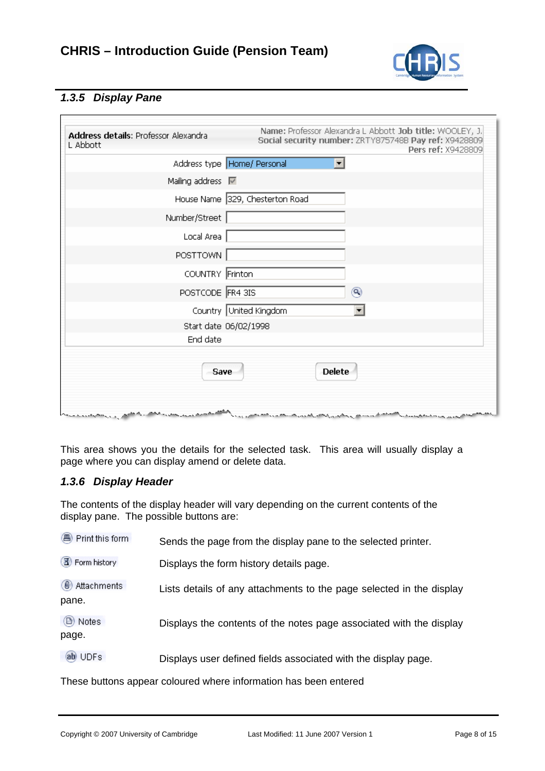

#### *1.3.5 Display Pane*

Ē

| Address details: Professor Alexandra<br>L Abbott |                             | Name: Professor Alexandra L Abbott Job title: WOOLEY, J.<br>Social security number: ZRTY875748B Pay ref: X9428809<br>Pers ref: X9428809 |
|--------------------------------------------------|-----------------------------|-----------------------------------------------------------------------------------------------------------------------------------------|
|                                                  |                             | Address type   Home/ Personal<br>▾                                                                                                      |
|                                                  | Mailing address $\mathbb F$ |                                                                                                                                         |
|                                                  |                             | House Name 329, Chesterton Road                                                                                                         |
|                                                  | Number/Street               |                                                                                                                                         |
|                                                  | Local Area                  |                                                                                                                                         |
|                                                  | <b>POSTTOWN</b>             |                                                                                                                                         |
|                                                  | COUNTRY Frinton             |                                                                                                                                         |
|                                                  | POSTCODE FR4 3IS            | $^{\circledR}$                                                                                                                          |
|                                                  |                             | Country United Kingdom                                                                                                                  |
|                                                  |                             | Start date 06/02/1998                                                                                                                   |
|                                                  | End date                    |                                                                                                                                         |
|                                                  | Save                        | <b>Delete</b>                                                                                                                           |
| an Alba                                          |                             | والمراسي والمستقر والمستحر والمستحر والتصميم والمحامر والمستعدد المستقلع المستعدد والمستعدد والمرابي والمداري                           |

This area shows you the details for the selected task. This area will usually display a page where you can display amend or delete data.

#### *1.3.6 Display Header*

The contents of the display header will vary depending on the current contents of the display pane. The possible buttons are:

| <b>A</b> Print this form | Sends the page from the display pane to the selected printer.        |
|--------------------------|----------------------------------------------------------------------|
| Form history             | Displays the form history details page.                              |
| 4 Attachments<br>pane.   | Lists details of any attachments to the page selected in the display |
| (B) Notes<br>page.       | Displays the contents of the notes page associated with the display  |
| ab UDFs                  | Displays user defined fields associated with the display page.       |

These buttons appear coloured where information has been entered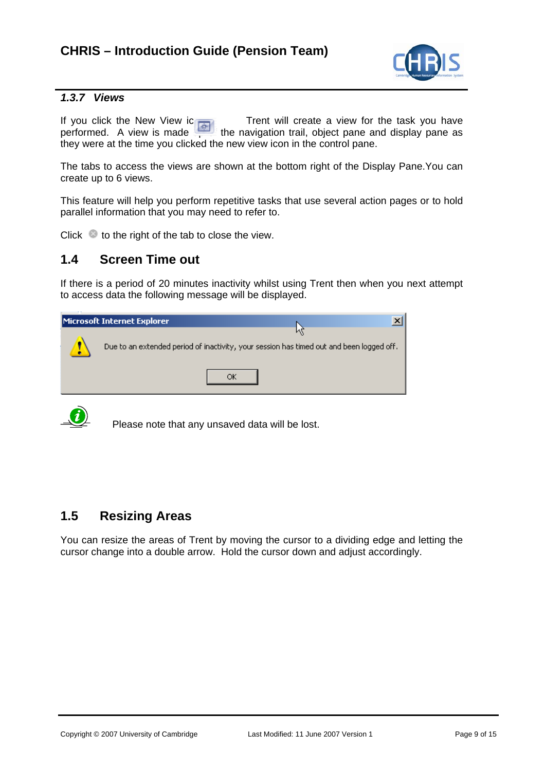

#### *1.3.7 Views*

If you click the New View ic  $\Box$  Trent will create a view for the task you have performed. A view is made  $\frac{1}{2}$  the navigation trail, object pane and display pane as they were at the time you clicked the new view icon in the control pane.

The tabs to access the views are shown at the bottom right of the Display Pane.You can create up to 6 views.

This feature will help you perform repetitive tasks that use several action pages or to hold parallel information that you may need to refer to.

Click  $\bullet$  to the right of the tab to close the view.

### **1.4 Screen Time out**

If there is a period of 20 minutes inactivity whilst using Trent then when you next attempt to access data the following message will be displayed.

| <b>Microsoft Internet Explorer</b>                                                       |
|------------------------------------------------------------------------------------------|
| Due to an extended period of inactivity, your session has timed out and been logged off. |
|                                                                                          |



Please note that any unsaved data will be lost.

### **1.5 Resizing Areas**

You can resize the areas of Trent by moving the cursor to a dividing edge and letting the cursor change into a double arrow. Hold the cursor down and adjust accordingly.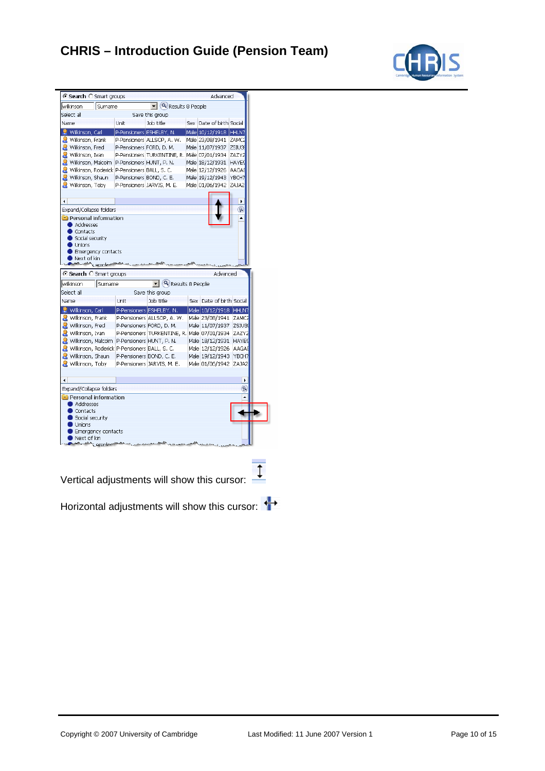

| ⊙ Search ○ Smart groups                                                             |                    |                                                                          |                                                          |  | Advanced                           |                       |
|-------------------------------------------------------------------------------------|--------------------|--------------------------------------------------------------------------|----------------------------------------------------------|--|------------------------------------|-----------------------|
| $\blacktriangleright$ ( $\blacktriangle$ ) Results 8 People<br>Surname<br>wilkinson |                    |                                                                          |                                                          |  |                                    |                       |
| Select all                                                                          |                    |                                                                          | Save this group                                          |  |                                    |                       |
| <b>Name</b>                                                                         |                    | Unit                                                                     | <b>Joh title</b>                                         |  | Sex Date of birth Social           |                       |
| Wilkinson, Carl                                                                     |                    | P-Pensioners ESHELBY, N.                                                 |                                                          |  | Male 10/12/1918 HHLN7              |                       |
| Wilkinson, Frank                                                                    |                    |                                                                          | P-Pensioners ALLSOP, A. W.                               |  | Male 23/08/1941                    | ZAMC2                 |
| Wilkinson, Fred                                                                     |                    | P-Pensioners FORD, D. M.                                                 |                                                          |  | Male 11/07/1937                    | ZSIU39                |
| Wilkinson, Ivan<br>Wilkinson, Malcolm                                               |                    |                                                                          | P-Pensioners TURKENTINE, R. Male 07/01/1934              |  |                                    | ZAZY2<br><b>HAYES</b> |
|                                                                                     |                    | P-Pensioners HUNT, P. N.<br>Wilkinson, Roderick P-Pensioners BALL, S. C. |                                                          |  | Male 18/12/1931<br>Male 12/12/1926 | AAGA8                 |
| Wilkinson, Shaun                                                                    |                    | P-Pensioners BOND, C. E.                                                 |                                                          |  | Male 19/12/1943 YBCH7              |                       |
| Wilkinson, Toby                                                                     |                    |                                                                          | P-Pensioners JARVIS, M. E.                               |  | Male 01/06/1942                    | ZA3A2                 |
|                                                                                     |                    |                                                                          |                                                          |  |                                    |                       |
| $\blacktriangleleft$                                                                |                    |                                                                          |                                                          |  |                                    |                       |
| Expand/Collapse folders                                                             |                    |                                                                          |                                                          |  |                                    | ۹                     |
| <b>Personal information</b>                                                         |                    |                                                                          |                                                          |  |                                    |                       |
| Addresses                                                                           |                    |                                                                          |                                                          |  |                                    |                       |
| Contacts                                                                            |                    |                                                                          |                                                          |  |                                    |                       |
| Social security                                                                     |                    |                                                                          |                                                          |  |                                    |                       |
| Unions                                                                              |                    |                                                                          |                                                          |  |                                    |                       |
| Emergency contacts                                                                  |                    |                                                                          |                                                          |  |                                    |                       |
| Next of kin                                                                         |                    |                                                                          |                                                          |  |                                    |                       |
|                                                                                     |                    |                                                                          |                                                          |  |                                    |                       |
|                                                                                     | <b>A</b> apaple    |                                                                          |                                                          |  |                                    |                       |
|                                                                                     |                    |                                                                          |                                                          |  |                                    |                       |
| ⊙ Search C Smart groups                                                             |                    |                                                                          |                                                          |  | Advanced                           |                       |
| wilkinson                                                                           | Surname            |                                                                          | $\overline{\phantom{a}}$ ( $\bigcirc$ ) Results 8 People |  |                                    |                       |
| Select all                                                                          |                    |                                                                          | Save this group                                          |  |                                    |                       |
| Name                                                                                |                    | Unit                                                                     | Job title                                                |  | Sex Date of birth Social           |                       |
| Wilkinson, Carl                                                                     |                    |                                                                          | P-Pensioners ESHELBY, N.                                 |  | Male 10/12/1918  HHLN7             |                       |
| Wilkinson, Frank                                                                    |                    |                                                                          | P-Pensioners ALLSOP, A. W.                               |  | Male 23/08/1941                    | ZAMC2                 |
| Wilkinson, Fred                                                                     |                    |                                                                          | P-Pensioners FORD, D. M.                                 |  | Male 11/07/1937                    | ZSIU3                 |
| Wilkinson, Ivan                                                                     |                    |                                                                          | P-Pensioners TURKENTINE, R. Male 07/01/1934              |  |                                    | ZAZY2                 |
| Wilkinson, Malcolm                                                                  |                    |                                                                          | P-Pensioners HUNT, P. N.                                 |  | Male 18/12/1931                    | <b>HAYES</b>          |
|                                                                                     |                    | Wilkinson, Roderick P-Pensioners BALL, S. C.                             |                                                          |  | Male 12/12/1926                    | <b>AAGA8</b>          |
| Wilkinson, Shaun                                                                    |                    |                                                                          | P-Pensioners BOND, C. E.                                 |  | Male 19/12/1943                    | YBCH7                 |
| Wilkinson, Toby                                                                     |                    |                                                                          | P-Pensioners JARVIS, M. E.                               |  | Male 01/06/1942                    | ZAJA2                 |
|                                                                                     |                    |                                                                          |                                                          |  |                                    |                       |
| ∢                                                                                   |                    |                                                                          |                                                          |  |                                    | ٠                     |
| Expand/Collapse folders                                                             |                    |                                                                          |                                                          |  |                                    | G.                    |
| <b>El Personal information</b>                                                      |                    |                                                                          |                                                          |  |                                    |                       |
| Addresses                                                                           |                    |                                                                          |                                                          |  |                                    |                       |
| Contacts                                                                            |                    |                                                                          |                                                          |  |                                    |                       |
| Social security                                                                     |                    |                                                                          |                                                          |  |                                    |                       |
| Unions                                                                              |                    |                                                                          |                                                          |  |                                    |                       |
| Next of kin                                                                         | Emergency contacts |                                                                          |                                                          |  |                                    |                       |

 $\overline{\downarrow}$ Vertical adjustments will show this cursor:

Horizontal adjustments will show this cursor:  $\overrightarrow{+}$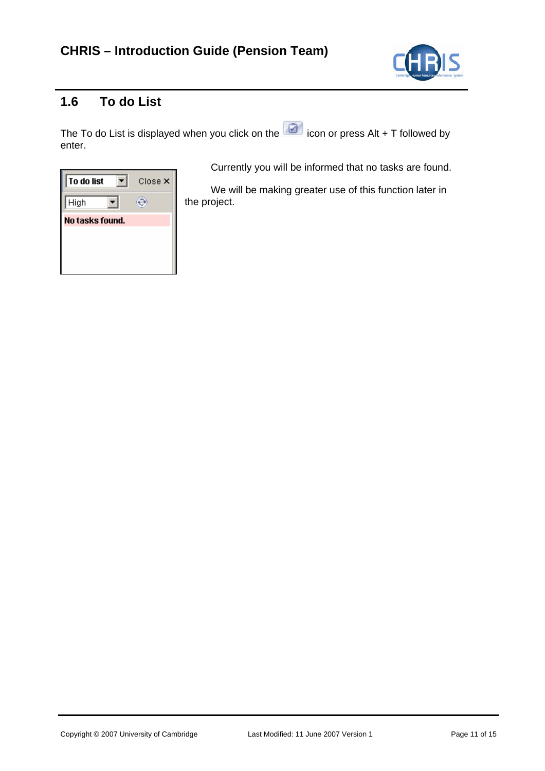

## **1.6 To do List**

The To do List is displayed when you click on the icon or press Alt + T followed by enter.

| $Close \times$ |
|----------------|
|                |
|                |
|                |
|                |
|                |

Currently you will be informed that no tasks are found.

 We will be making greater use of this function later in the project.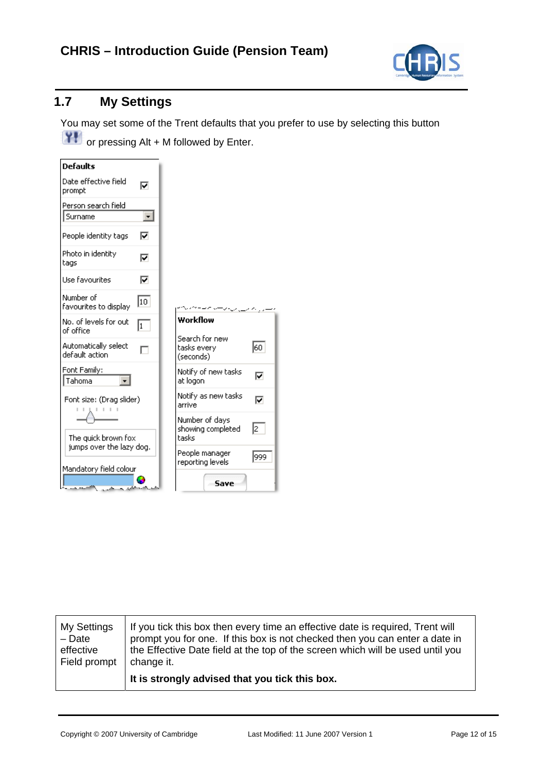

## **1.7 My Settings**

You may set some of the Trent defaults that you prefer to use by selecting this button

 $\mathbf{H}$  or pressing Alt + M followed by Enter.

| <b>Defaults</b>                                                             |           |                          |                                     |      |
|-----------------------------------------------------------------------------|-----------|--------------------------|-------------------------------------|------|
| Date effective field<br>prompt                                              | ⊽         |                          |                                     |      |
| Person search field<br>Surname                                              | $\bullet$ |                          |                                     |      |
| People identity tags                                                        | ⊽         |                          |                                     |      |
| Photo in identity<br>tags                                                   | ⊽         |                          |                                     |      |
| <b>Use favourites</b>                                                       | ⊽         |                          |                                     |      |
| Number of<br>favourites to display                                          | 10.       |                          |                                     |      |
| No. of levels for out<br>of office                                          | I1        | Workflow                 |                                     |      |
| Automatically select<br>default action                                      |           | tasks every<br>(seconds) | Search for new                      | 60   |
| Font Family:<br>Tahoma                                                      |           | at logon                 | Notify of new tasks                 | ⊽    |
| Font size: (Drag slider)<br>The quick brown fox<br>jumps over the lazy dog. |           | arrive                   | Notify as new tasks                 | ⊽    |
|                                                                             |           | tasks                    | Number of days<br>showing completed | I2.  |
|                                                                             |           |                          | People manager<br>reporting levels  | 1999 |
| Mandatory field colour                                                      |           |                          | Save                                |      |

| My Settings  | If you tick this box then every time an effective date is required. Trent will |
|--------------|--------------------------------------------------------------------------------|
| $-$ Date     | prompt you for one. If this box is not checked then you can enter a date in    |
| effective    | the Effective Date field at the top of the screen which will be used until you |
| Field prompt | change it.                                                                     |
|              | It is strongly advised that you tick this box.                                 |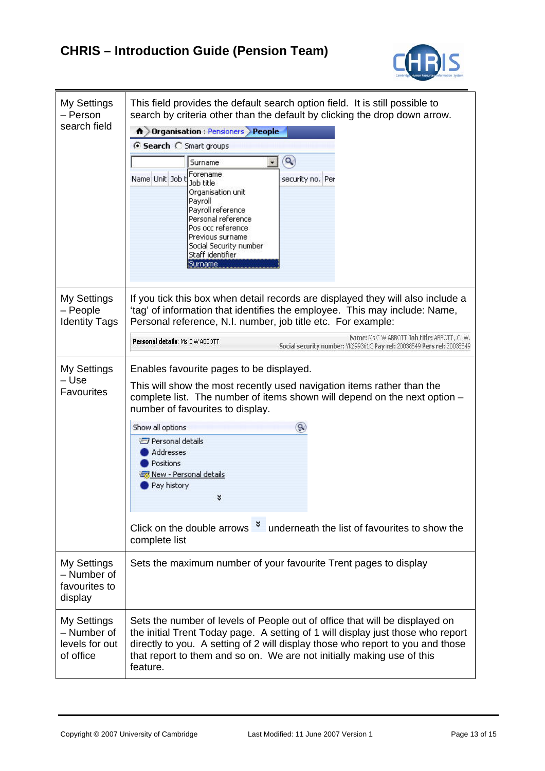

| My Settings<br>- Person<br>search field                   | This field provides the default search option field. It is still possible to<br>search by criteria other than the default by clicking the drop down arrow.<br>A Organisation : Pensioners People<br>⊙ Search ○ Smart groups<br>$\Omega$<br>$\star$<br>Surname<br>Forename<br>Name Unit Job t<br>security no. Per<br>Job title<br>Organisation unit<br>Payroll<br>Payroll reference<br>Personal reference<br>Pos occ reference<br>Previous surname<br>Social Security number<br>Staff identifier<br>Surname |
|-----------------------------------------------------------|------------------------------------------------------------------------------------------------------------------------------------------------------------------------------------------------------------------------------------------------------------------------------------------------------------------------------------------------------------------------------------------------------------------------------------------------------------------------------------------------------------|
| My Settings<br>- People<br><b>Identity Tags</b>           | If you tick this box when detail records are displayed they will also include a<br>'tag' of information that identifies the employee. This may include: Name,<br>Personal reference, N.I. number, job title etc. For example:                                                                                                                                                                                                                                                                              |
|                                                           | Name: Ms C W ABBOTT Job title: ABBOTT, C. W.<br>Personal details: Ms C W ABBOTT<br>Social security number: YK299361C Pay ref: 20038549 Pers ref: 20038549                                                                                                                                                                                                                                                                                                                                                  |
| My Settings<br>– Use<br><b>Favourites</b>                 | Enables favourite pages to be displayed.<br>This will show the most recently used navigation items rather than the<br>complete list. The number of items shown will depend on the next option -<br>number of favourites to display.<br>Show all options<br>۹<br><sup>2</sup> Personal details<br>Addresses<br>Positions<br>New - Personal details<br>Pay history<br>×<br>Click on the double arrows $\frac{3}{4}$ underneath the list of favourites to show the<br>complete list                           |
| My Settings<br>- Number of<br>favourites to<br>display    | Sets the maximum number of your favourite Trent pages to display                                                                                                                                                                                                                                                                                                                                                                                                                                           |
| My Settings<br>- Number of<br>levels for out<br>of office | Sets the number of levels of People out of office that will be displayed on<br>the initial Trent Today page. A setting of 1 will display just those who report<br>directly to you. A setting of 2 will display those who report to you and those<br>that report to them and so on. We are not initially making use of this<br>feature.                                                                                                                                                                     |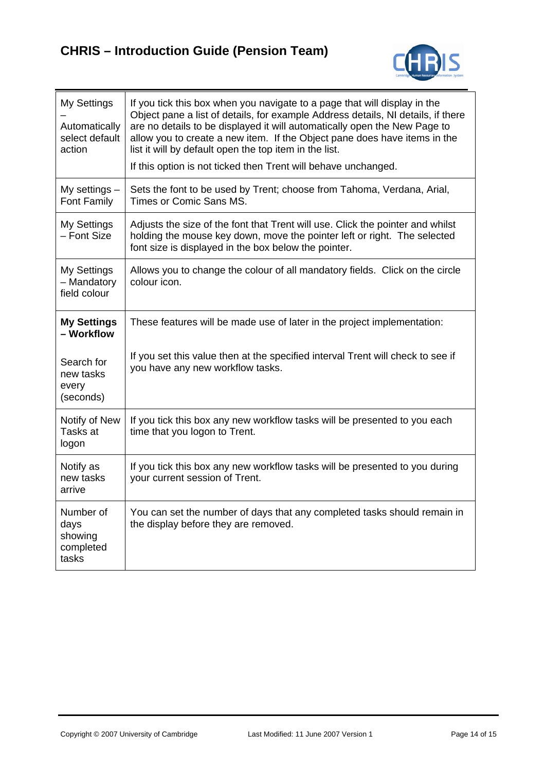

| My Settings<br>Automatically<br>select default<br>action | If you tick this box when you navigate to a page that will display in the<br>Object pane a list of details, for example Address details, NI details, if there<br>are no details to be displayed it will automatically open the New Page to<br>allow you to create a new item. If the Object pane does have items in the<br>list it will by default open the top item in the list.<br>If this option is not ticked then Trent will behave unchanged. |
|----------------------------------------------------------|-----------------------------------------------------------------------------------------------------------------------------------------------------------------------------------------------------------------------------------------------------------------------------------------------------------------------------------------------------------------------------------------------------------------------------------------------------|
| My settings -<br>Font Family                             | Sets the font to be used by Trent; choose from Tahoma, Verdana, Arial,<br>Times or Comic Sans MS.                                                                                                                                                                                                                                                                                                                                                   |
| My Settings<br>- Font Size                               | Adjusts the size of the font that Trent will use. Click the pointer and whilst<br>holding the mouse key down, move the pointer left or right. The selected<br>font size is displayed in the box below the pointer.                                                                                                                                                                                                                                  |
| My Settings<br>- Mandatory<br>field colour               | Allows you to change the colour of all mandatory fields. Click on the circle<br>colour icon.                                                                                                                                                                                                                                                                                                                                                        |
| <b>My Settings</b><br>- Workflow                         | These features will be made use of later in the project implementation:                                                                                                                                                                                                                                                                                                                                                                             |
| Search for<br>new tasks<br>every<br>(seconds)            | If you set this value then at the specified interval Trent will check to see if<br>you have any new workflow tasks.                                                                                                                                                                                                                                                                                                                                 |
| Notify of New<br>Tasks at<br>logon                       | If you tick this box any new workflow tasks will be presented to you each<br>time that you logon to Trent.                                                                                                                                                                                                                                                                                                                                          |
| Notify as<br>new tasks<br>arrive                         | If you tick this box any new workflow tasks will be presented to you during<br>your current session of Trent.                                                                                                                                                                                                                                                                                                                                       |
| Number of<br>days<br>showing<br>completed<br>tasks       | You can set the number of days that any completed tasks should remain in<br>the display before they are removed.                                                                                                                                                                                                                                                                                                                                    |